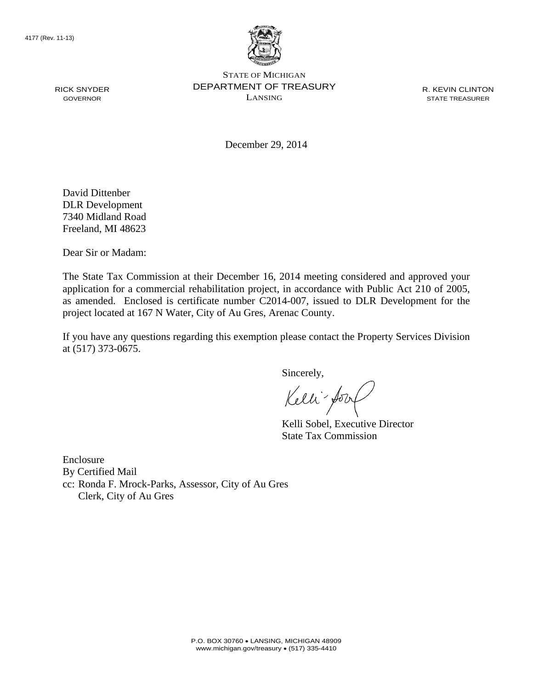

STATE OF MICHIGAN DEPARTMENT OF TREASURY LANSING

R. KEVIN CLINTON STATE TREASURER

December 29, 2014

David Dittenber DLR Development 7340 Midland Road Freeland, MI 48623

Dear Sir or Madam:

The State Tax Commission at their December 16, 2014 meeting considered and approved your application for a commercial rehabilitation project, in accordance with Public Act 210 of 2005, as amended. Enclosed is certificate number C2014-007, issued to DLR Development for the project located at 167 N Water, City of Au Gres, Arenac County.

If you have any questions regarding this exemption please contact the Property Services Division at (517) 373-0675.

Sincerely,

Kelli fory

Kelli Sobel, Executive Director State Tax Commission

Enclosure By Certified Mail cc: Ronda F. Mrock-Parks, Assessor, City of Au Gres Clerk, City of Au Gres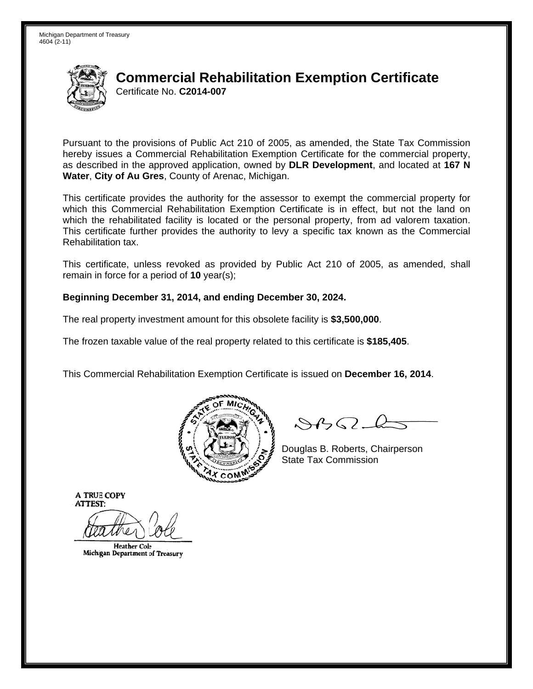

Pursuant to the provisions of Public Act 210 of 2005, as amended, the State Tax Commission hereby issues a Commercial Rehabilitation Exemption Certificate for the commercial property. as described in the approved application, owned by DLR Development, and located at 167 N Water, City of Au Gres, County of Arenac, Michigan.

This certificate provides the authority for the assessor to exempt the commercial property for which this Commercial Rehabilitation Exemption Certificate is in effect, but not the land on which the rehabilitated facility is located or the personal property, from ad valorem taxation. This certificate further provides the authority to levy a specific tax known as the Commercial Rehabilitation tax.

This certificate, unless revoked as provided by Public Act 210 of 2005, as amended, shall remain in force for a period of  $10$  year(s);

#### Beginning December 31, 2014, and ending December 30, 2024.

The real property investment amount for this obsolete facility is \$3,500,000.

The frozen taxable value of the real property related to this certificate is \$185,405.

This Commercial Rehabilitation Exemption Certificate is issued on December 16, 2014.



 $\mathcal{S}$ BO-6

Douglas B. Roberts, Chairperson **State Tax Commission** 

**Heather Cole** Michigan Department of Treasury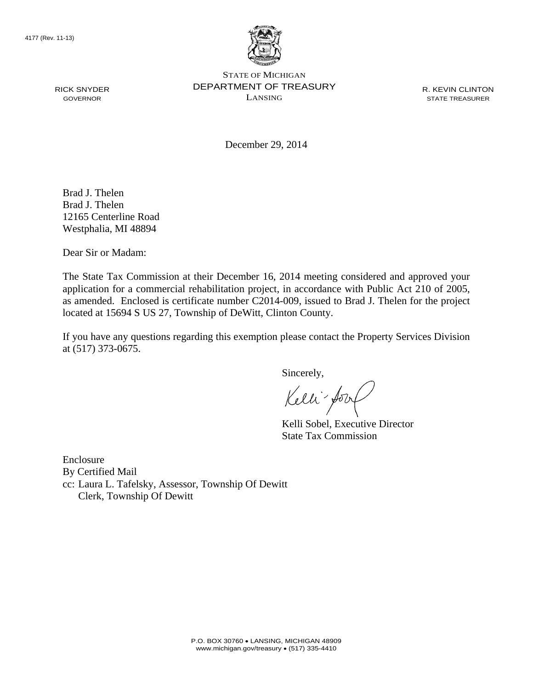

STATE OF MICHIGAN DEPARTMENT OF TREASURY LANSING

R. KEVIN CLINTON STATE TREASURER

December 29, 2014

Brad J. Thelen Brad J. Thelen 12165 Centerline Road Westphalia, MI 48894

Dear Sir or Madam:

The State Tax Commission at their December 16, 2014 meeting considered and approved your application for a commercial rehabilitation project, in accordance with Public Act 210 of 2005, as amended. Enclosed is certificate number C2014-009, issued to Brad J. Thelen for the project located at 15694 S US 27, Township of DeWitt, Clinton County.

If you have any questions regarding this exemption please contact the Property Services Division at (517) 373-0675.

Sincerely,

Kelli - Jory

Kelli Sobel, Executive Director State Tax Commission

Enclosure By Certified Mail cc: Laura L. Tafelsky, Assessor, Township Of Dewitt Clerk, Township Of Dewitt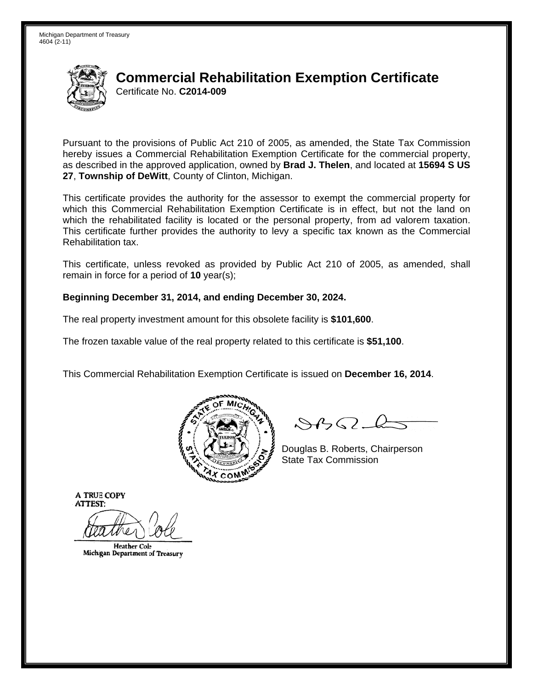

Pursuant to the provisions of Public Act 210 of 2005, as amended, the State Tax Commission hereby issues a Commercial Rehabilitation Exemption Certificate for the commercial property. as described in the approved application, owned by Brad J. Thelen, and located at 15694 S US 27, Township of DeWitt, County of Clinton, Michigan.

This certificate provides the authority for the assessor to exempt the commercial property for which this Commercial Rehabilitation Exemption Certificate is in effect, but not the land on which the rehabilitated facility is located or the personal property, from ad valorem taxation. This certificate further provides the authority to levy a specific tax known as the Commercial Rehabilitation tax.

This certificate, unless revoked as provided by Public Act 210 of 2005, as amended, shall remain in force for a period of  $10$  year(s);

#### Beginning December 31, 2014, and ending December 30, 2024.

The real property investment amount for this obsolete facility is \$101,600.

The frozen taxable value of the real property related to this certificate is \$51,100.

This Commercial Rehabilitation Exemption Certificate is issued on December 16, 2014.



 $\mathcal{S}$ BO-6

Douglas B. Roberts, Chairperson **State Tax Commission** 

**Heather Cole** Michigan Department of Treasury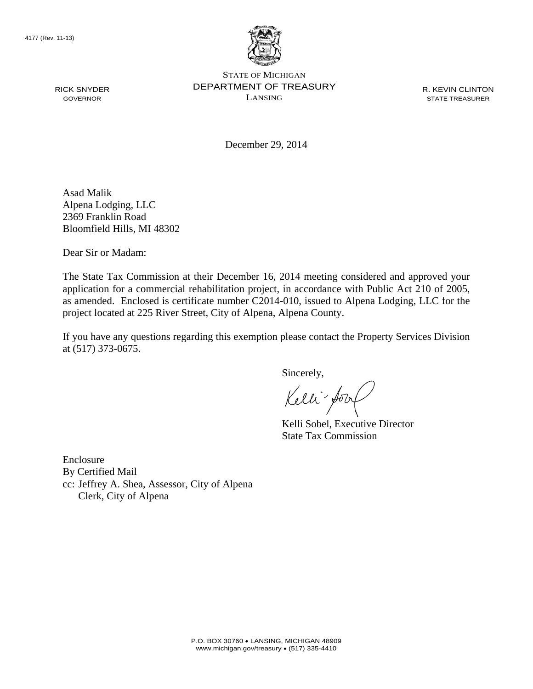

STATE OF MICHIGAN DEPARTMENT OF TREASURY LANSING

R. KEVIN CLINTON STATE TREASURER

December 29, 2014

Asad Malik Alpena Lodging, LLC 2369 Franklin Road Bloomfield Hills, MI 48302

Dear Sir or Madam:

The State Tax Commission at their December 16, 2014 meeting considered and approved your application for a commercial rehabilitation project, in accordance with Public Act 210 of 2005, as amended. Enclosed is certificate number C2014-010, issued to Alpena Lodging, LLC for the project located at 225 River Street, City of Alpena, Alpena County.

If you have any questions regarding this exemption please contact the Property Services Division at (517) 373-0675.

Sincerely,

Kelli fory

Kelli Sobel, Executive Director State Tax Commission

Enclosure By Certified Mail cc: Jeffrey A. Shea, Assessor, City of Alpena Clerk, City of Alpena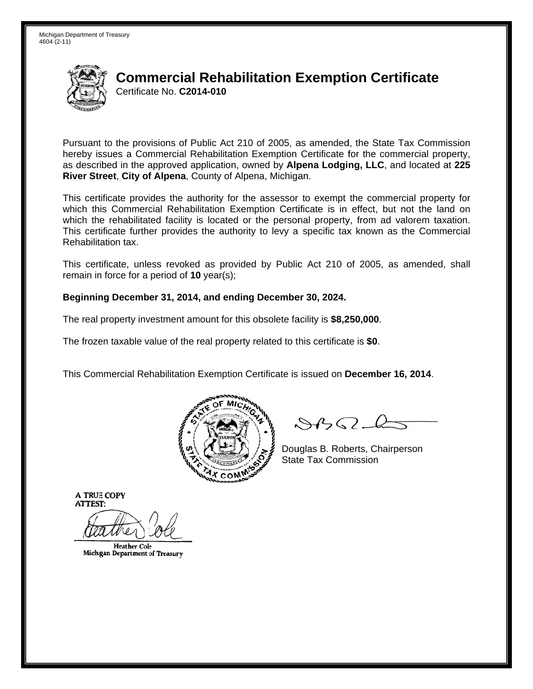

Pursuant to the provisions of Public Act 210 of 2005, as amended, the State Tax Commission hereby issues a Commercial Rehabilitation Exemption Certificate for the commercial property, as described in the approved application, owned by Alpena Lodging, LLC, and located at 225 River Street, City of Alpena, County of Alpena, Michigan.

This certificate provides the authority for the assessor to exempt the commercial property for which this Commercial Rehabilitation Exemption Certificate is in effect, but not the land on which the rehabilitated facility is located or the personal property, from ad valorem taxation. This certificate further provides the authority to levy a specific tax known as the Commercial Rehabilitation tax.

This certificate, unless revoked as provided by Public Act 210 of 2005, as amended, shall remain in force for a period of  $10$  year(s);

#### Beginning December 31, 2014, and ending December 30, 2024.

The real property investment amount for this obsolete facility is \$8,250,000.

The frozen taxable value of the real property related to this certificate is \$0.

This Commercial Rehabilitation Exemption Certificate is issued on December 16, 2014.



 $\mathcal{S}$ BO-6

Douglas B. Roberts, Chairperson **State Tax Commission** 

**Heather Cole** Michigan Department of Treasury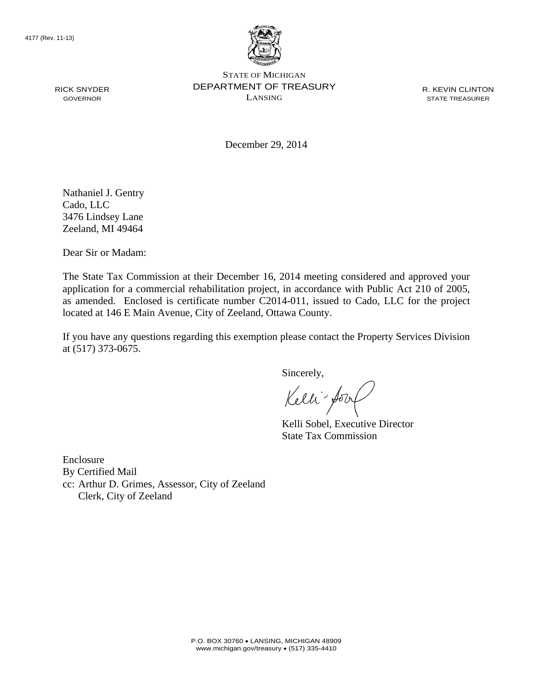

STATE OF MICHIGAN DEPARTMENT OF TREASURY LANSING

R. KEVIN CLINTON STATE TREASURER

December 29, 2014

Nathaniel J. Gentry Cado, LLC 3476 Lindsey Lane Zeeland, MI 49464

Dear Sir or Madam:

The State Tax Commission at their December 16, 2014 meeting considered and approved your application for a commercial rehabilitation project, in accordance with Public Act 210 of 2005, as amended. Enclosed is certificate number C2014-011, issued to Cado, LLC for the project located at 146 E Main Avenue, City of Zeeland, Ottawa County.

If you have any questions regarding this exemption please contact the Property Services Division at (517) 373-0675.

Sincerely,

Kelli - Jory

Kelli Sobel, Executive Director State Tax Commission

Enclosure By Certified Mail cc: Arthur D. Grimes, Assessor, City of Zeeland Clerk, City of Zeeland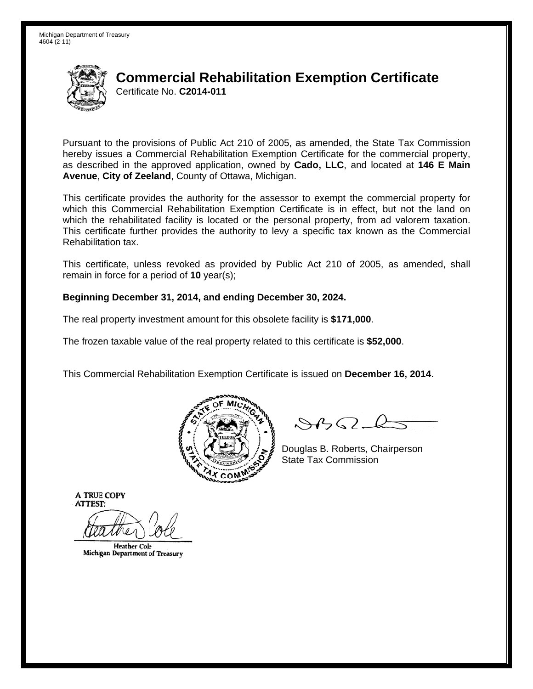

Pursuant to the provisions of Public Act 210 of 2005, as amended, the State Tax Commission hereby issues a Commercial Rehabilitation Exemption Certificate for the commercial property, as described in the approved application, owned by Cado, LLC, and located at 146 E Main Avenue, City of Zeeland, County of Ottawa, Michigan.

This certificate provides the authority for the assessor to exempt the commercial property for which this Commercial Rehabilitation Exemption Certificate is in effect, but not the land on which the rehabilitated facility is located or the personal property, from ad valorem taxation. This certificate further provides the authority to levy a specific tax known as the Commercial Rehabilitation tax.

This certificate, unless revoked as provided by Public Act 210 of 2005, as amended, shall remain in force for a period of  $10$  year(s);

#### Beginning December 31, 2014, and ending December 30, 2024.

The real property investment amount for this obsolete facility is \$171,000.

The frozen taxable value of the real property related to this certificate is \$52,000.

This Commercial Rehabilitation Exemption Certificate is issued on December 16, 2014.



 $\mathcal{S}$ BO-6

Douglas B. Roberts, Chairperson **State Tax Commission** 

**Heather Cole** Michigan Department of Treasury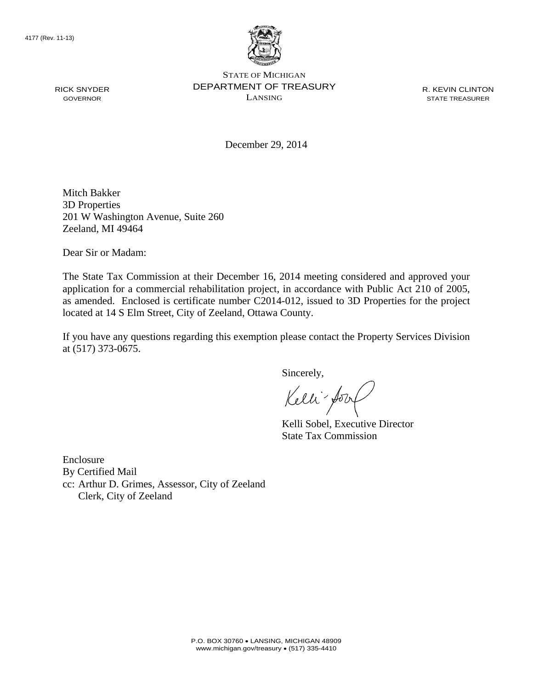

STATE OF MICHIGAN DEPARTMENT OF TREASURY LANSING

R. KEVIN CLINTON STATE TREASURER

December 29, 2014

Mitch Bakker 3D Properties 201 W Washington Avenue, Suite 260 Zeeland, MI 49464

Dear Sir or Madam:

The State Tax Commission at their December 16, 2014 meeting considered and approved your application for a commercial rehabilitation project, in accordance with Public Act 210 of 2005, as amended. Enclosed is certificate number C2014-012, issued to 3D Properties for the project located at 14 S Elm Street, City of Zeeland, Ottawa County.

If you have any questions regarding this exemption please contact the Property Services Division at (517) 373-0675.

Sincerely,

Kelli - Jory

Kelli Sobel, Executive Director State Tax Commission

Enclosure By Certified Mail cc: Arthur D. Grimes, Assessor, City of Zeeland Clerk, City of Zeeland

RICK SNYDER GOVERNOR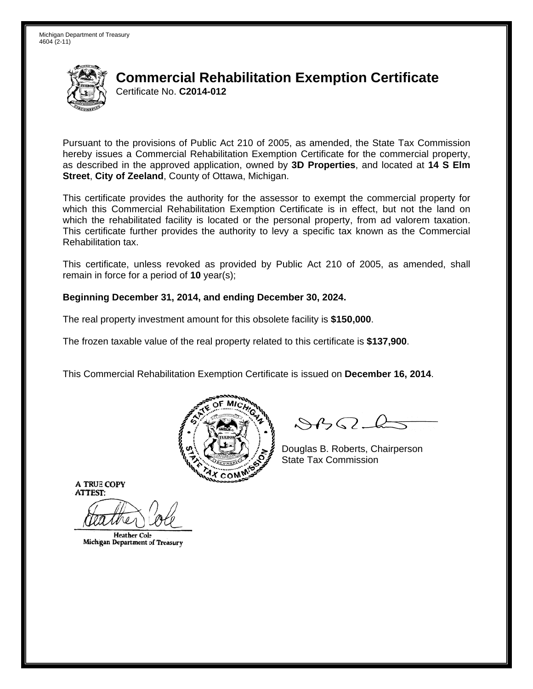

Pursuant to the provisions of Public Act 210 of 2005, as amended, the State Tax Commission hereby issues a Commercial Rehabilitation Exemption Certificate for the commercial property, as described in the approved application, owned by 3D Properties, and located at 14 S Elm Street, City of Zeeland, County of Ottawa, Michigan.

This certificate provides the authority for the assessor to exempt the commercial property for which this Commercial Rehabilitation Exemption Certificate is in effect, but not the land on which the rehabilitated facility is located or the personal property, from ad valorem taxation. This certificate further provides the authority to levy a specific tax known as the Commercial Rehabilitation tax.

This certificate, unless revoked as provided by Public Act 210 of 2005, as amended, shall remain in force for a period of  $10$  year(s);

#### Beginning December 31, 2014, and ending December 30, 2024.

The real property investment amount for this obsolete facility is \$150,000.

The frozen taxable value of the real property related to this certificate is \$137,900.

This Commercial Rehabilitation Exemption Certificate is issued on December 16, 2014.



 $\mathcal{S}$ BO-6

Douglas B. Roberts, Chairperson **State Tax Commission** 

**Heather Cole** Michigan Department of Treasury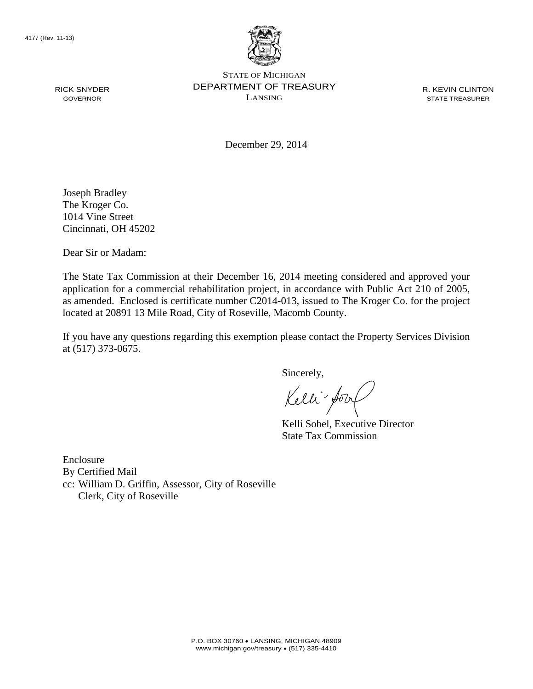

STATE OF MICHIGAN DEPARTMENT OF TREASURY LANSING

R. KEVIN CLINTON STATE TREASURER

December 29, 2014

Joseph Bradley The Kroger Co. 1014 Vine Street Cincinnati, OH 45202

Dear Sir or Madam:

The State Tax Commission at their December 16, 2014 meeting considered and approved your application for a commercial rehabilitation project, in accordance with Public Act 210 of 2005, as amended. Enclosed is certificate number C2014-013, issued to The Kroger Co. for the project located at 20891 13 Mile Road, City of Roseville, Macomb County.

If you have any questions regarding this exemption please contact the Property Services Division at (517) 373-0675.

Sincerely,

Kelli - Jory

Kelli Sobel, Executive Director State Tax Commission

Enclosure By Certified Mail cc: William D. Griffin, Assessor, City of Roseville Clerk, City of Roseville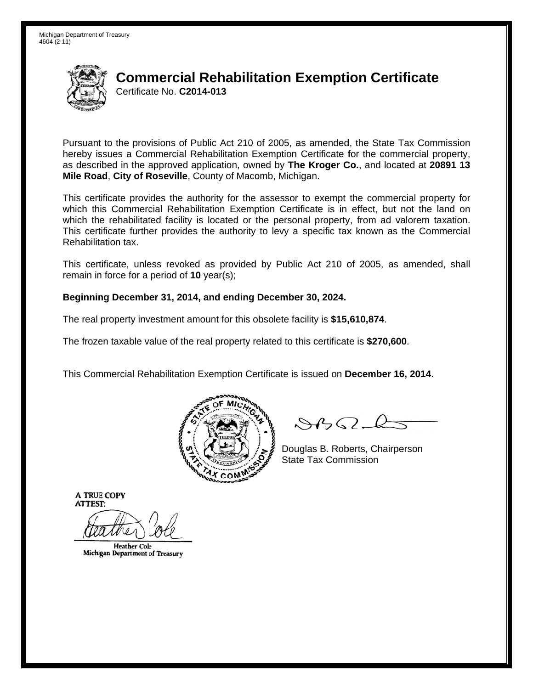

Pursuant to the provisions of Public Act 210 of 2005, as amended, the State Tax Commission hereby issues a Commercial Rehabilitation Exemption Certificate for the commercial property, as described in the approved application, owned by The Kroger Co., and located at 20891 13 Mile Road, City of Roseville, County of Macomb, Michigan.

This certificate provides the authority for the assessor to exempt the commercial property for which this Commercial Rehabilitation Exemption Certificate is in effect, but not the land on which the rehabilitated facility is located or the personal property, from ad valorem taxation. This certificate further provides the authority to levy a specific tax known as the Commercial Rehabilitation tax.

This certificate, unless revoked as provided by Public Act 210 of 2005, as amended, shall remain in force for a period of  $10$  year(s);

#### Beginning December 31, 2014, and ending December 30, 2024.

The real property investment amount for this obsolete facility is \$15,610.874.

The frozen taxable value of the real property related to this certificate is \$270,600.

This Commercial Rehabilitation Exemption Certificate is issued on December 16, 2014.



 $\mathcal{S}$ BO-6

Douglas B. Roberts, Chairperson **State Tax Commission** 

**Heather Cole** Michigan Department of Treasury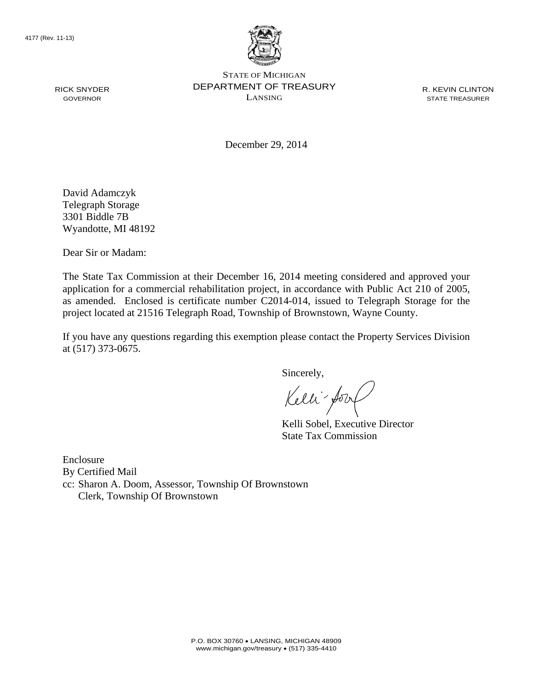

STATE OF MICHIGAN DEPARTMENT OF TREASURY LANSING

R. KEVIN CLINTON STATE TREASURER

December 29, 2014

David Adamczyk Telegraph Storage 3301 Biddle 7B Wyandotte, MI 48192

Dear Sir or Madam:

The State Tax Commission at their December 16, 2014 meeting considered and approved your application for a commercial rehabilitation project, in accordance with Public Act 210 of 2005, as amended. Enclosed is certificate number C2014-014, issued to Telegraph Storage for the project located at 21516 Telegraph Road, Township of Brownstown, Wayne County.

If you have any questions regarding this exemption please contact the Property Services Division at (517) 373-0675.

Sincerely,

Kelli fory

Kelli Sobel, Executive Director State Tax Commission

Enclosure By Certified Mail cc: Sharon A. Doom, Assessor, Township Of Brownstown Clerk, Township Of Brownstown